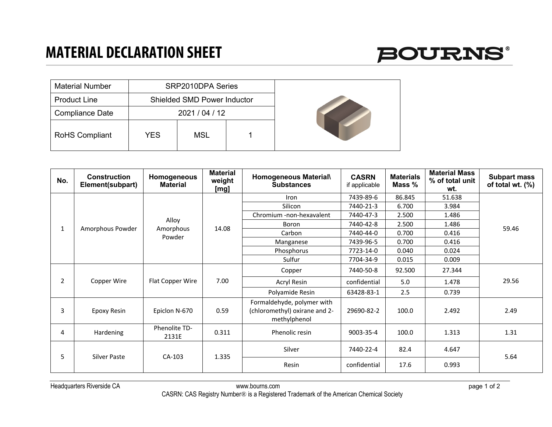

| <b>Material Number</b> |            | SRP2010DPA Series                  |  |
|------------------------|------------|------------------------------------|--|
| <b>Product Line</b>    |            | <b>Shielded SMD Power Inductor</b> |  |
| <b>Compliance Date</b> |            | 2021 / 04 / 12                     |  |
| <b>RoHS Compliant</b>  | <b>YES</b> | <b>MSL</b>                         |  |

| No.            | <b>Construction</b><br>Element(subpart) | Homogeneous<br><b>Material</b> | <b>Material</b><br>weight<br>[mg] | Homogeneous Material\<br><b>Substances</b>                                  | <b>CASRN</b><br>if applicable | <b>Materials</b><br>Mass % | <b>Material Mass</b><br>% of total unit<br>wt. | <b>Subpart mass</b><br>of total wt. (%) |
|----------------|-----------------------------------------|--------------------------------|-----------------------------------|-----------------------------------------------------------------------------|-------------------------------|----------------------------|------------------------------------------------|-----------------------------------------|
|                |                                         |                                |                                   | Iron                                                                        | 7439-89-6                     | 86.845                     | 51.638                                         |                                         |
|                |                                         |                                |                                   | Silicon                                                                     | 7440-21-3                     | 6.700                      | 3.984                                          |                                         |
|                |                                         | Alloy                          |                                   | Chromium -non-hexavalent                                                    | 7440-47-3                     | 2.500                      | 1.486                                          |                                         |
| 1              | Amorphous Powder                        | Amorphous                      | 14.08                             | Boron                                                                       | 7440-42-8                     | 2.500                      | 1.486                                          | 59.46                                   |
|                |                                         | Powder                         |                                   | Carbon                                                                      | 7440-44-0                     | 0.700                      | 0.416                                          |                                         |
|                |                                         |                                |                                   | Manganese                                                                   | 7439-96-5                     | 0.700                      | 0.416                                          |                                         |
|                |                                         |                                |                                   | Phosphorus                                                                  | 7723-14-0                     | 0.040                      | 0.024                                          |                                         |
|                |                                         |                                |                                   | Sulfur                                                                      | 7704-34-9                     | 0.015                      | 0.009                                          |                                         |
|                |                                         |                                |                                   | Copper                                                                      | 7440-50-8                     | 92.500                     | 27.344                                         |                                         |
| $\overline{2}$ | Copper Wire                             | Flat Copper Wire               | 7.00                              | Acryl Resin                                                                 | confidential                  | 5.0                        | 1.478                                          | 29.56                                   |
|                |                                         |                                |                                   | Polyamide Resin                                                             | 63428-83-1                    | 2.5                        | 0.739                                          |                                         |
| 3              | Epoxy Resin                             | Epiclon N-670                  | 0.59                              | Formaldehyde, polymer with<br>(chloromethyl) oxirane and 2-<br>methylphenol | 29690-82-2                    | 100.0                      | 2.492                                          | 2.49                                    |
| 4              | Hardening                               | Phenolite TD-<br>2131E         | 0.311                             | Phenolic resin                                                              | 9003-35-4                     | 100.0                      | 1.313                                          | 1.31                                    |
| 5              | <b>Silver Paste</b>                     | CA-103                         | 1.335                             | Silver                                                                      | 7440-22-4                     | 82.4                       | 4.647                                          | 5.64                                    |
|                |                                         |                                |                                   | Resin                                                                       | confidential                  | 17.6                       | 0.993                                          |                                         |